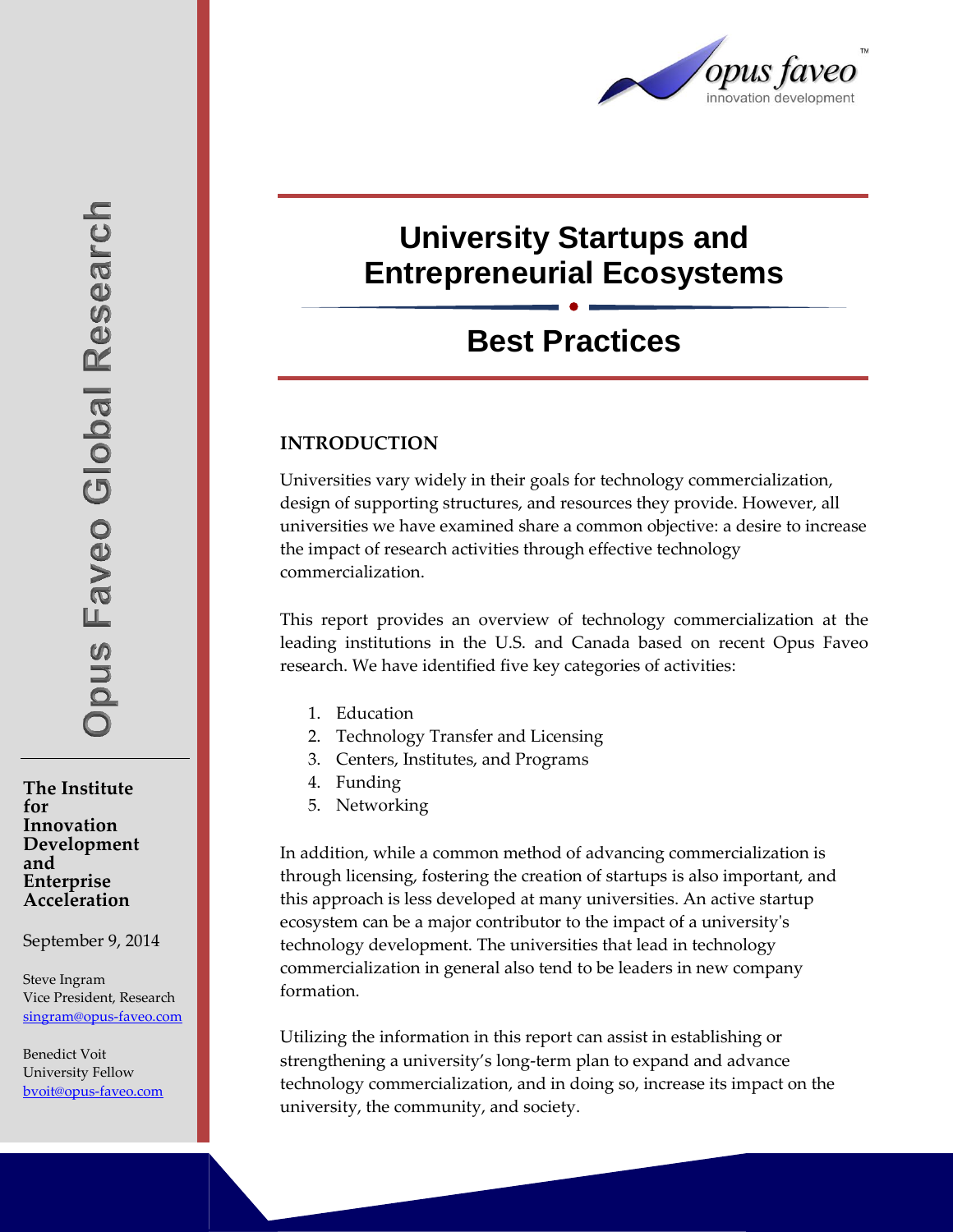

# **University Startups and Entrepreneurial Ecosystems**

# **Best Practices**

#### **INTRODUCTION**

Universities vary widely in their goals for technology commercialization, design of supporting structures, and resources they provide. However, all universities we have examined share a common objective: a desire to increase the impact of research activities through effective technology commercialization.

This report provides an overview of technology commercialization at the leading institutions in the U.S. and Canada based on recent Opus Faveo research. We have identified five key categories of activities:

- 1. Education
- 2. Technology Transfer and Licensing
- 3. Centers, Institutes, and Programs
- 4. Funding
- 5. Networking

In addition, while a common method of advancing commercialization is through licensing, fostering the creation of startups is also important, and this approach is less developed at many universities. An active startup ecosystem can be a major contributor to the impact of a university's technology development. The universities that lead in technology commercialization in general also tend to be leaders in new company formation.

Utilizing the information in this report can assist in establishing or strengthening a university's long-term plan to expand and advance technology commercialization, and in doing so, increase its impact on the university, the community, and society.

**The Institute for Innovation Development and Enterprise Acceleration**

September 9, 2014

Steve Ingram Vice President, Research [singram@opus-faveo.com](mailto:singram@opus-faveo.com)

Benedict Voit University Fellow [bvoit@opus-faveo.com](mailto:bvoit@opus-faveo.com)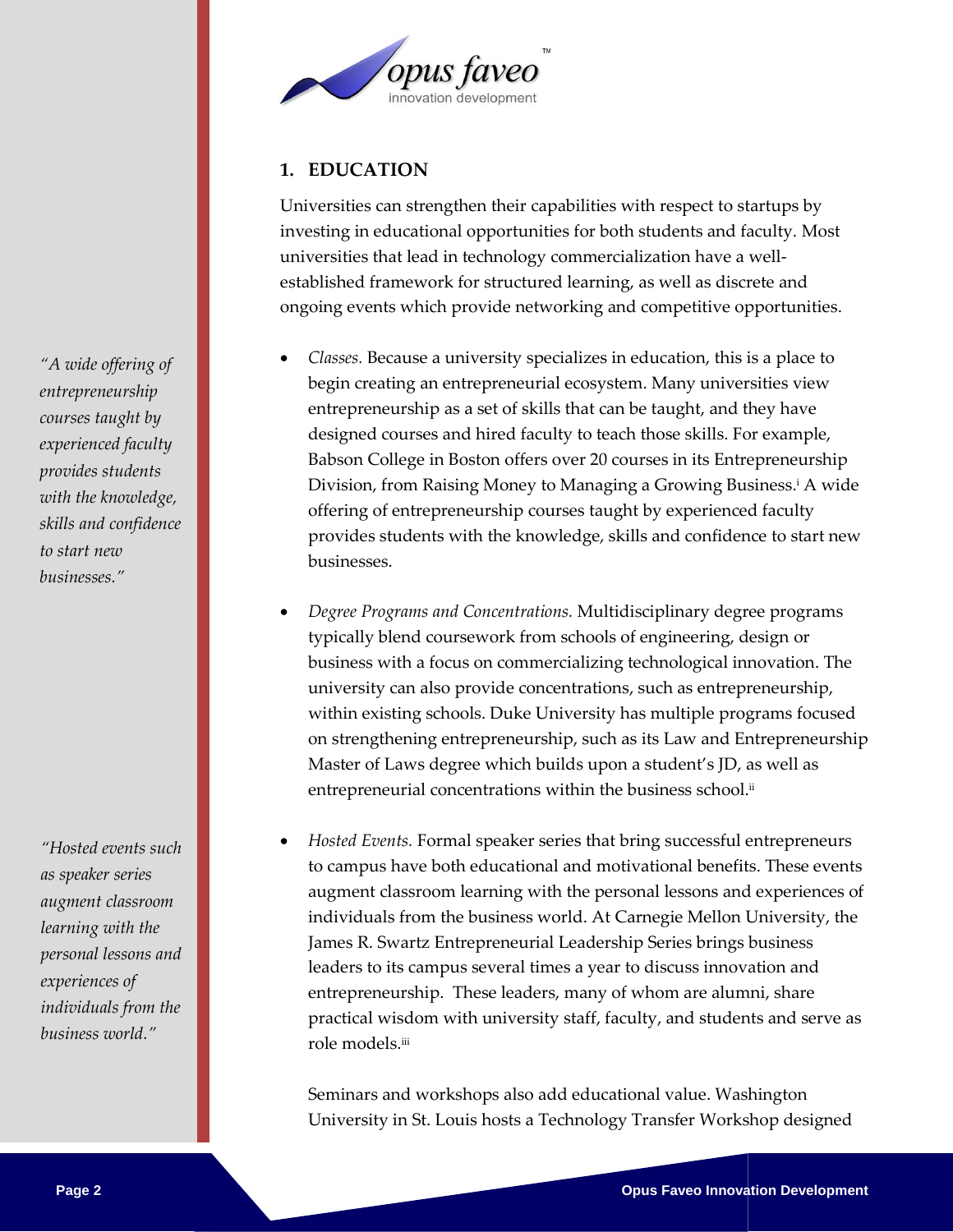

## **1. EDUCATION**

Universities can strengthen their capabilities with respect to startups by investing in educational opportunities for both students and faculty. Most universities that lead in technology commercialization have a wellestablished framework for structured learning, as well as discrete and ongoing events which provide networking and competitive opportunities.

- *Classes.* Because a university specializes in education, this is a place to begin creating an entrepreneurial ecosystem. Many universities view entrepreneurship as a set of skills that can be taught, and they have designed courses and hired faculty to teach those skills. For example, Babson College in Boston offers over 20 courses in its Entrepreneurship Division, from Raising Money to Managing a Growing Business. <sup>i</sup> A wide offering of entrepreneurship courses taught by experienced faculty provides students with the knowledge, skills and confidence to start new businesses.
- *Degree Programs and Concentrations.* Multidisciplinary degree programs typically blend coursework from schools of engineering, design or business with a focus on commercializing technological innovation. The university can also provide concentrations, such as entrepreneurship, within existing schools. Duke University has multiple programs focused on strengthening entrepreneurship, such as its Law and Entrepreneurship Master of Laws degree which builds upon a student's JD, as well as entrepreneurial concentrations within the business school.<sup>ii</sup>
- *Hosted Events.* Formal speaker series that bring successful entrepreneurs to campus have both educational and motivational benefits. These events augment classroom learning with the personal lessons and experiences of individuals from the business world. At Carnegie Mellon University, the James R. Swartz Entrepreneurial Leadership Series brings business leaders to its campus several times a year to discuss innovation and entrepreneurship. These leaders, many of whom are alumni, share practical wisdom with university staff, faculty, and students and serve as role models.iii

Seminars and workshops also add educational value. Washington University in St. Louis hosts a Technology Transfer Workshop designed

*"A wide offering of entrepreneurship courses taught by experienced faculty provides students with the knowledge, skills and confidence to start new businesses."*

*"Hosted events such as speaker series augment classroom learning with the personal lessons and experiences of individuals from the business world."*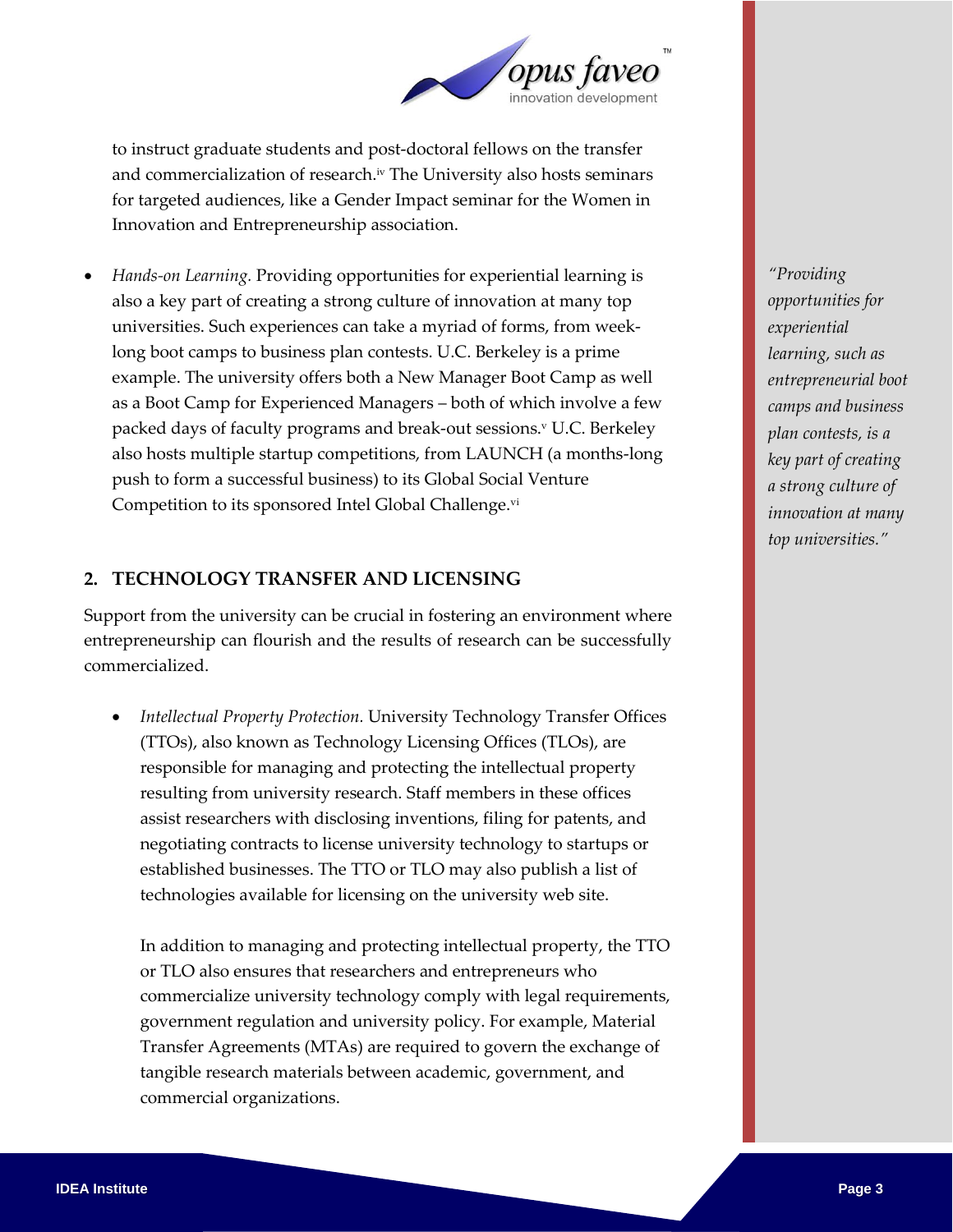

to instruct graduate students and post-doctoral fellows on the transfer and commercialization of research.<sup>iv</sup> The University also hosts seminars for targeted audiences, like a Gender Impact seminar for the Women in Innovation and Entrepreneurship association.

 *Hands-on Learning.* Providing opportunities for experiential learning is also a key part of creating a strong culture of innovation at many top universities. Such experiences can take a myriad of forms, from weeklong boot camps to business plan contests. U.C. Berkeley is a prime example. The university offers both a New Manager Boot Camp as well as a Boot Camp for Experienced Managers – both of which involve a few packed days of faculty programs and break-out sessions.<sup>v</sup> U.C. Berkeley also hosts multiple startup competitions, from LAUNCH (a months-long push to form a successful business) to its Global Social Venture Competition to its sponsored Intel Global Challenge.vi

#### **2. TECHNOLOGY TRANSFER AND LICENSING**

Support from the university can be crucial in fostering an environment where entrepreneurship can flourish and the results of research can be successfully commercialized.

 *Intellectual Property Protection.* University Technology Transfer Offices (TTOs), also known as Technology Licensing Offices (TLOs), are responsible for managing and protecting the intellectual property resulting from university research. Staff members in these offices assist researchers with disclosing inventions, filing for patents, and negotiating contracts to license university technology to startups or established businesses. The TTO or TLO may also publish a list of technologies available for licensing on the university web site.

In addition to managing and protecting intellectual property, the TTO or TLO also ensures that researchers and entrepreneurs who commercialize university technology comply with legal requirements, government regulation and university policy. For example, Material Transfer Agreements (MTAs) are required to govern the exchange of tangible research materials between academic, government, and commercial organizations.

*"Providing opportunities for experiential learning, such as entrepreneurial boot camps and business plan contests, is a key part of creating a strong culture of innovation at many top universities."*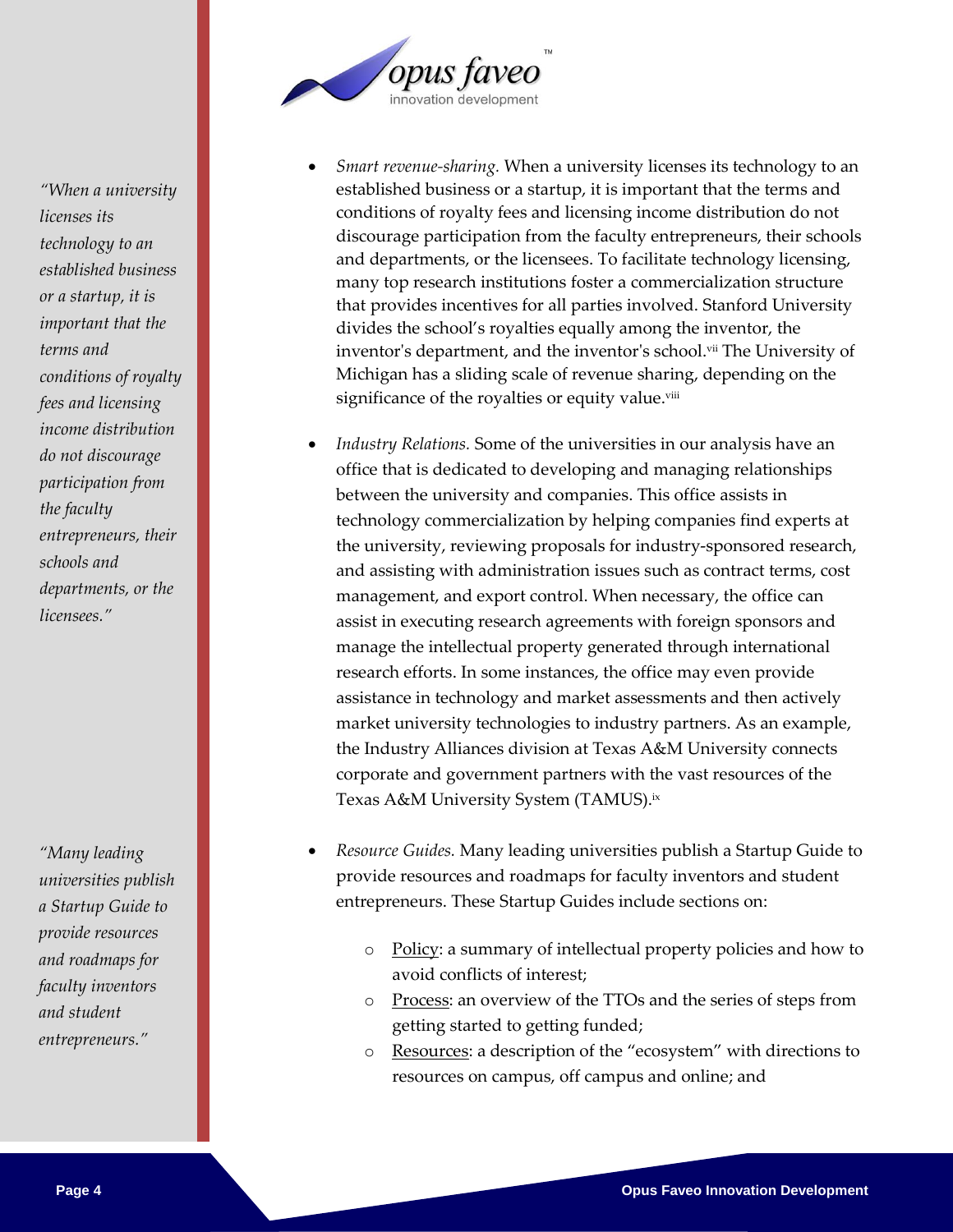

- *Smart revenue-sharing.* When a university licenses its technology to an established business or a startup, it is important that the terms and conditions of royalty fees and licensing income distribution do not discourage participation from the faculty entrepreneurs, their schools and departments, or the licensees. To facilitate technology licensing, many top research institutions foster a commercialization structure that provides incentives for all parties involved. Stanford University divides the school's royalties equally among the inventor, the inventor's department, and the inventor's school.<sup>vii</sup> The University of Michigan has a sliding scale of revenue sharing, depending on the significance of the royalties or equity value. viii
- *Industry Relations.* Some of the universities in our analysis have an office that is dedicated to developing and managing relationships between the university and companies. This office assists in technology commercialization by helping companies find experts at the university, reviewing proposals for industry-sponsored research, and assisting with administration issues such as contract terms, cost management, and export control. When necessary, the office can assist in executing research agreements with foreign sponsors and manage the intellectual property generated through international research efforts. In some instances, the office may even provide assistance in technology and market assessments and then actively market university technologies to industry partners. As an example, the Industry Alliances division at Texas A&M University connects corporate and government partners with the vast resources of the Texas A&M University System (TAMUS). ix
- *Resource Guides.* Many leading universities publish a Startup Guide to provide resources and roadmaps for faculty inventors and student entrepreneurs. These Startup Guides include sections on:
	- o Policy: a summary of intellectual property policies and how to avoid conflicts of interest;
	- o Process: an overview of the TTOs and the series of steps from getting started to getting funded;
	- o Resources: a description of the "ecosystem" with directions to resources on campus, off campus and online; and

*"When a university licenses its technology to an established business or a startup, it is important that the terms and conditions of royalty fees and licensing income distribution do not discourage participation from the faculty entrepreneurs, their schools and departments, or the licensees."*

*"Many leading universities publish a Startup Guide to provide resources and roadmaps for faculty inventors and student entrepreneurs."*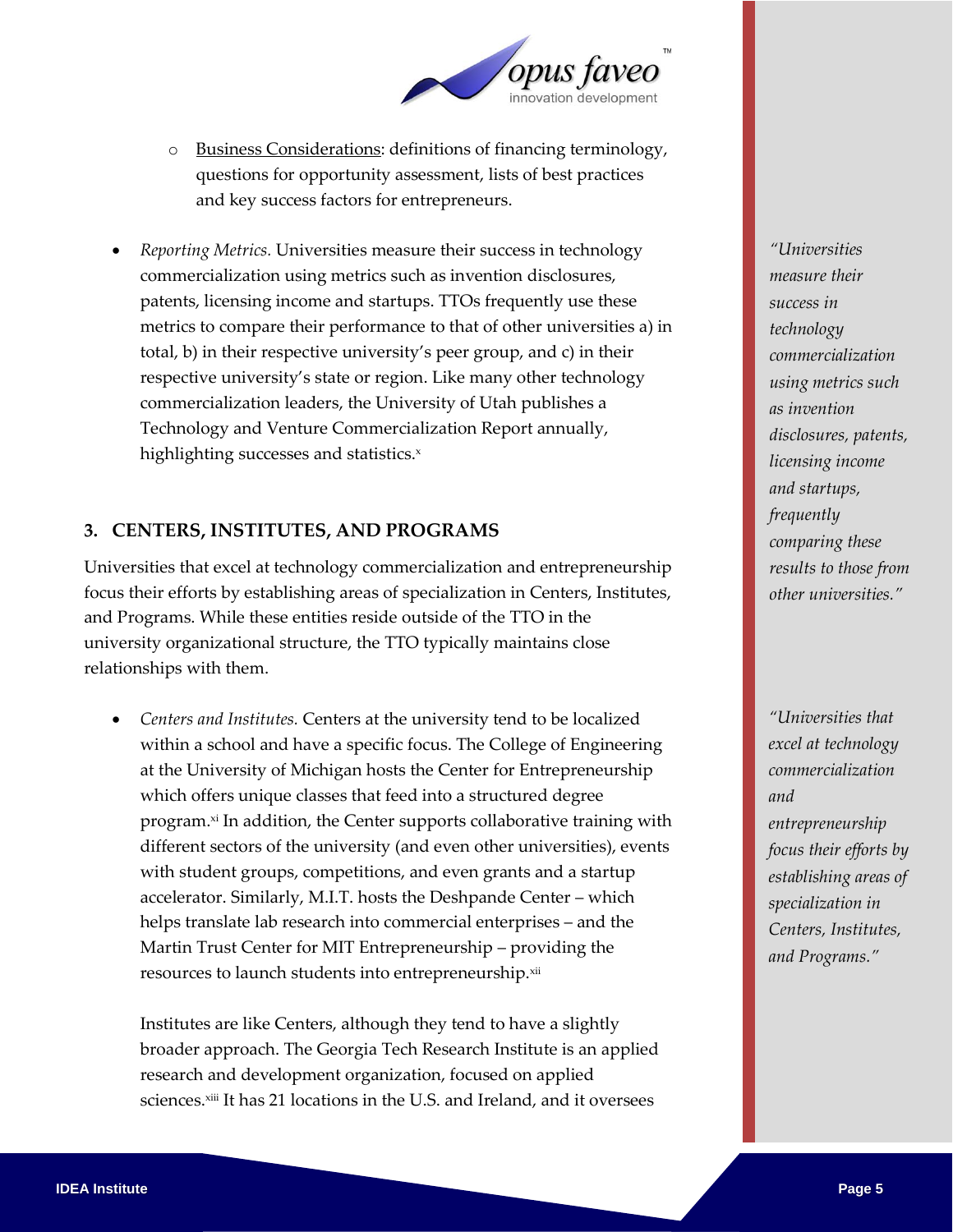

- o Business Considerations: definitions of financing terminology, questions for opportunity assessment, lists of best practices and key success factors for entrepreneurs.
- *Reporting Metrics.* Universities measure their success in technology commercialization using metrics such as invention disclosures, patents, licensing income and startups. TTOs frequently use these metrics to compare their performance to that of other universities a) in total, b) in their respective university's peer group, and c) in their respective university's state or region. Like many other technology commercialization leaders, the University of Utah publishes a Technology and Venture Commercialization Report annually, highlighting successes and statistics.x

### **3. CENTERS, INSTITUTES, AND PROGRAMS**

Universities that excel at technology commercialization and entrepreneurship focus their efforts by establishing areas of specialization in Centers, Institutes, and Programs. While these entities reside outside of the TTO in the university organizational structure, the TTO typically maintains close relationships with them.

 *Centers and Institutes.* Centers at the university tend to be localized within a school and have a specific focus. The College of Engineering at the University of Michigan hosts the Center for Entrepreneurship which offers unique classes that feed into a structured degree program.<sup>xi</sup> In addition, the Center supports collaborative training with different sectors of the university (and even other universities), events with student groups, competitions, and even grants and a startup accelerator. Similarly, M.I.T. hosts the Deshpande Center – which helps translate lab research into commercial enterprises – and the Martin Trust Center for MIT Entrepreneurship – providing the resources to launch students into entrepreneurship.xii

Institutes are like Centers, although they tend to have a slightly broader approach. The Georgia Tech Research Institute is an applied research and development organization, focused on applied sciences.<sup>xiii</sup> It has 21 locations in the U.S. and Ireland, and it oversees

*"Universities measure their success in technology commercialization using metrics such as invention disclosures, patents, licensing income and startups, frequently comparing these results to those from other universities."*

*"Universities that excel at technology commercialization and entrepreneurship focus their efforts by establishing areas of specialization in Centers, Institutes, and Programs."*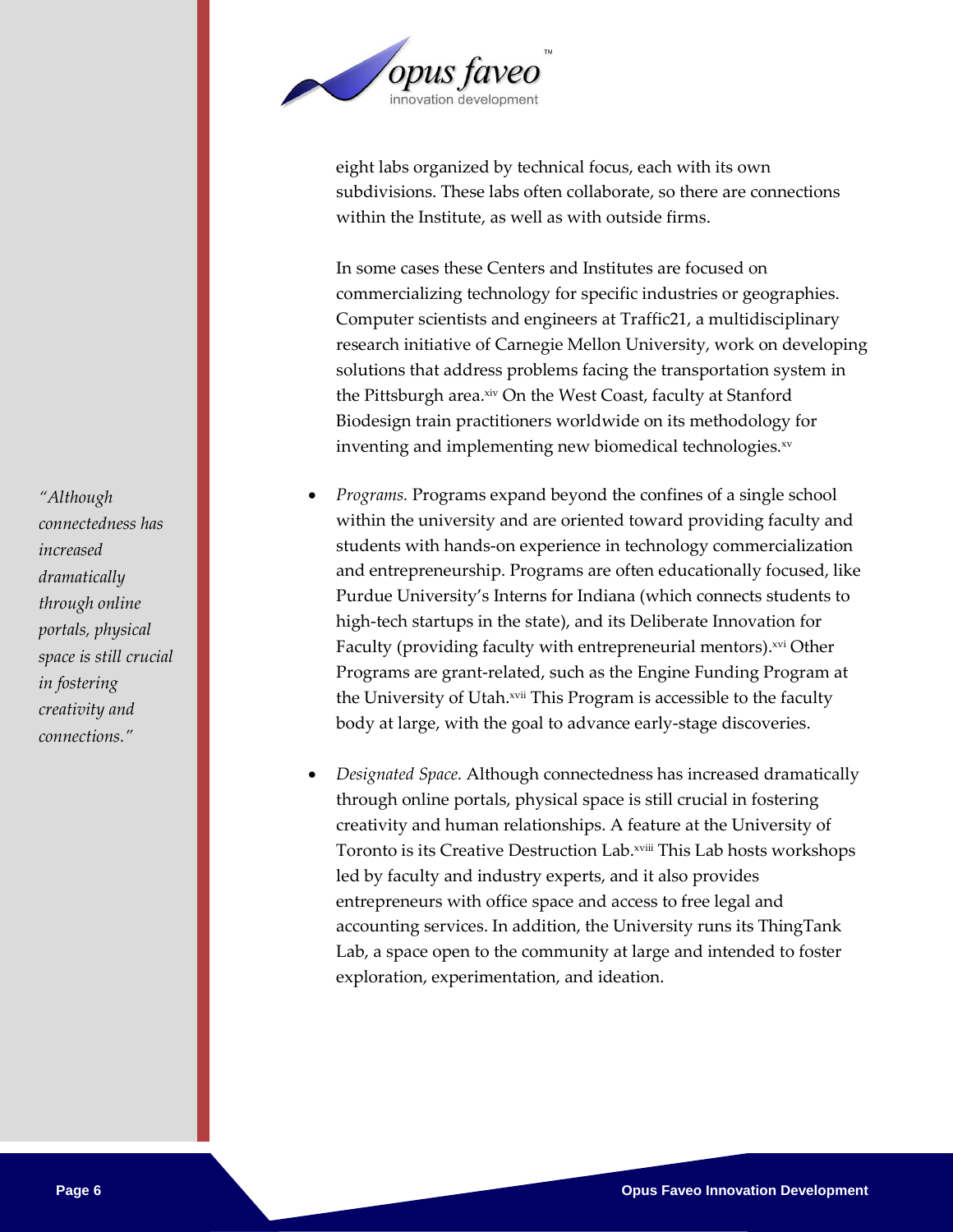

eight labs organized by technical focus, each with its own subdivisions. These labs often collaborate, so there are connections within the Institute, as well as with outside firms.

In some cases these Centers and Institutes are focused on commercializing technology for specific industries or geographies. Computer scientists and engineers at Traffic21, a multidisciplinary research initiative of Carnegie Mellon University, work on developing solutions that address problems facing the transportation system in the Pittsburgh area.×iv On the West Coast, faculty at Stanford Biodesign train practitioners worldwide on its methodology for inventing and implementing new biomedical technologies.<sup>xv</sup>

- *Programs.* Programs expand beyond the confines of a single school within the university and are oriented toward providing faculty and students with hands-on experience in technology commercialization and entrepreneurship. Programs are often educationally focused, like Purdue University's Interns for Indiana (which connects students to high-tech startups in the state), and its Deliberate Innovation for Faculty (providing faculty with entrepreneurial mentors). xvi Other Programs are grant-related, such as the Engine Funding Program at the University of Utah. xvii This Program is accessible to the faculty body at large, with the goal to advance early-stage discoveries.
- *Designated Space.* Although connectedness has increased dramatically through online portals, physical space is still crucial in fostering creativity and human relationships. A feature at the University of Toronto is its Creative Destruction Lab.xviii This Lab hosts workshops led by faculty and industry experts, and it also provides entrepreneurs with office space and access to free legal and accounting services. In addition, the University runs its ThingTank Lab, a space open to the community at large and intended to foster exploration, experimentation, and ideation.

*"Although connectedness has increased dramatically through online portals, physical space is still crucial in fostering creativity and connections."*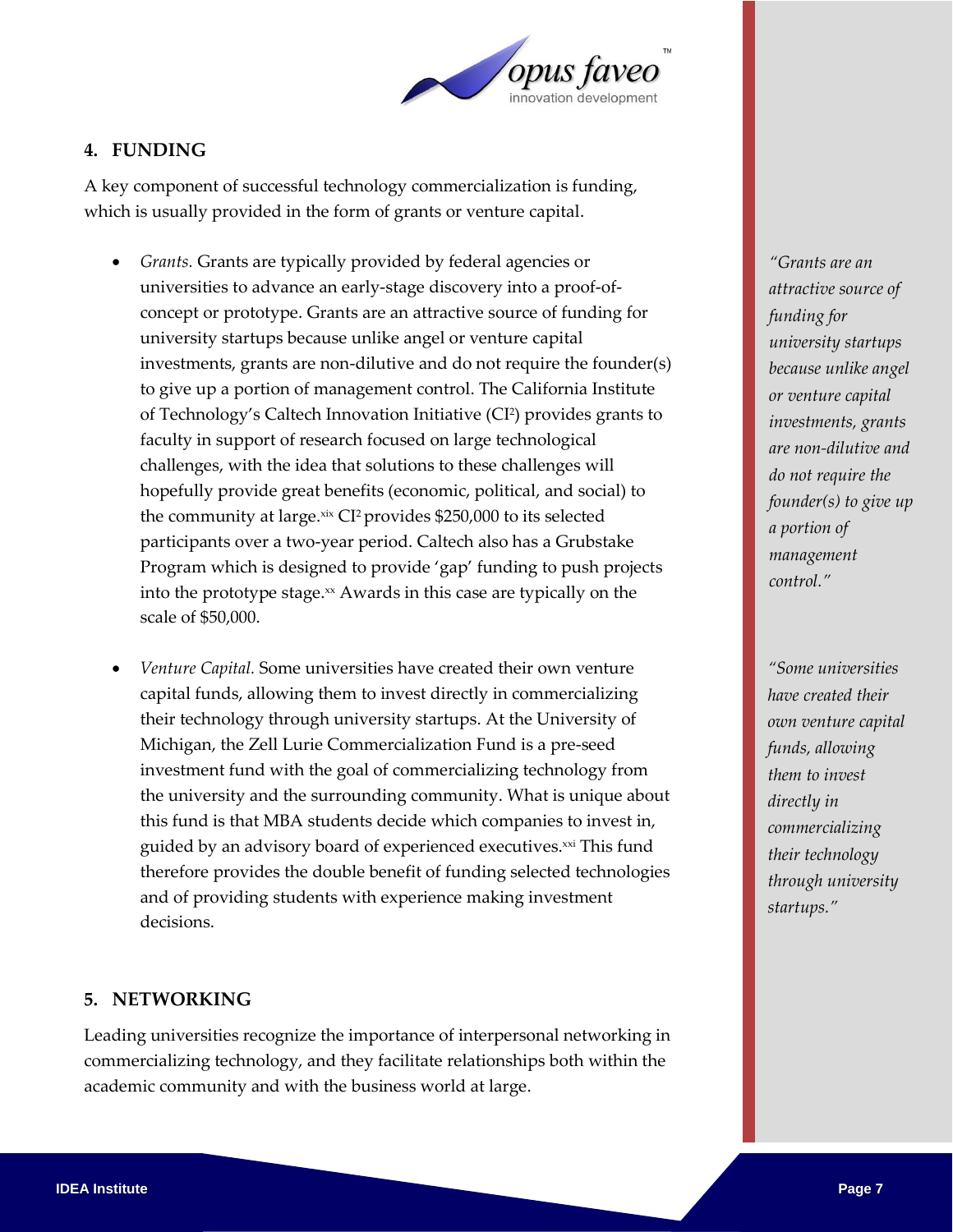

### **4. FUNDING**

A key component of successful technology commercialization is funding, which is usually provided in the form of grants or venture capital.

- *Grants.* Grants are typically provided by federal agencies or universities to advance an early-stage discovery into a proof-ofconcept or prototype. Grants are an attractive source of funding for university startups because unlike angel or venture capital investments, grants are non-dilutive and do not require the founder(s) to give up a portion of management control. The California Institute of Technology's Caltech Innovation Initiative (CI<sup>2</sup> ) provides grants to faculty in support of research focused on large technological challenges, with the idea that solutions to these challenges will hopefully provide great benefits (economic, political, and social) to the community at large.xix CI<sup>2</sup> provides \$250,000 to its selected participants over a two-year period. Caltech also has a Grubstake Program which is designed to provide 'gap' funding to push projects into the prototype stage. $x$  Awards in this case are typically on the scale of \$50,000.
- *Venture Capital.* Some universities have created their own venture capital funds, allowing them to invest directly in commercializing their technology through university startups. At the University of Michigan, the Zell Lurie Commercialization Fund is a pre-seed investment fund with the goal of commercializing technology from the university and the surrounding community. What is unique about this fund is that MBA students decide which companies to invest in, guided by an advisory board of experienced executives.<sup>xxi</sup> This fund therefore provides the double benefit of funding selected technologies and of providing students with experience making investment decisions.

#### **5. NETWORKING**

Leading universities recognize the importance of interpersonal networking in commercializing technology, and they facilitate relationships both within the academic community and with the business world at large.

*"Grants are an attractive source of funding for university startups because unlike angel or venture capital investments, grants are non-dilutive and do not require the founder(s) to give up a portion of management control."*

*"Some universities have created their own venture capital funds, allowing them to invest directly in commercializing their technology through university startups."*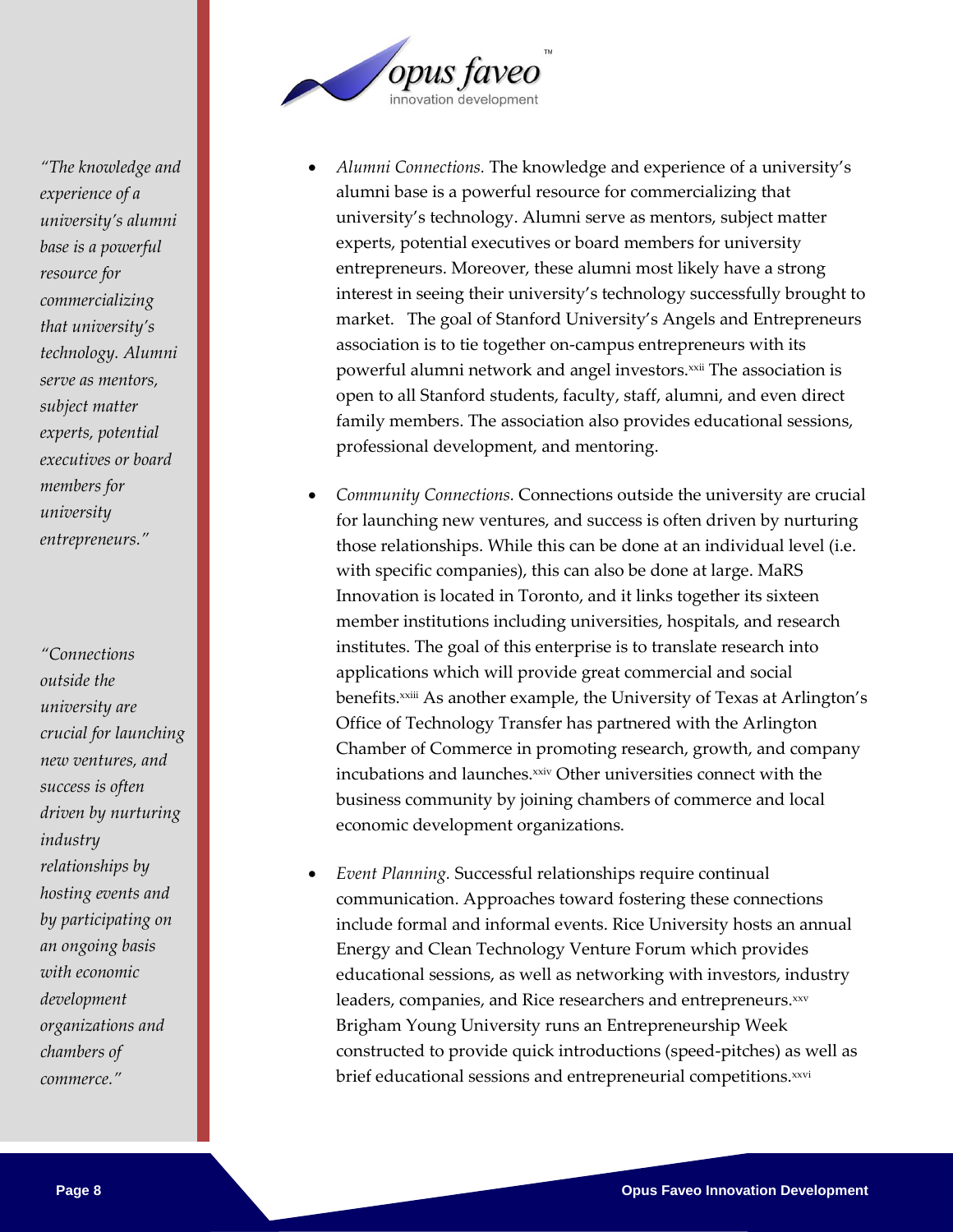

- *Alumni Connections.* The knowledge and experience of a university's alumni base is a powerful resource for commercializing that university's technology. Alumni serve as mentors, subject matter experts, potential executives or board members for university entrepreneurs. Moreover, these alumni most likely have a strong interest in seeing their university's technology successfully brought to market. The goal of Stanford University's Angels and Entrepreneurs association is to tie together on-campus entrepreneurs with its powerful alumni network and angel investors.<sup>xxii</sup> The association is open to all Stanford students, faculty, staff, alumni, and even direct family members. The association also provides educational sessions, professional development, and mentoring.
- *Community Connections.* Connections outside the university are crucial for launching new ventures, and success is often driven by nurturing those relationships. While this can be done at an individual level (i.e. with specific companies), this can also be done at large. MaRS Innovation is located in Toronto, and it links together its sixteen member institutions including universities, hospitals, and research institutes. The goal of this enterprise is to translate research into applications which will provide great commercial and social benefits.<sup>xxiii</sup> As another example, the University of Texas at Arlington's Office of Technology Transfer has partnered with the Arlington Chamber of Commerce in promoting research, growth, and company incubations and launches.xxiv Other universities connect with the business community by joining chambers of commerce and local economic development organizations.
- *Event Planning.* Successful relationships require continual communication. Approaches toward fostering these connections include formal and informal events. Rice University hosts an annual Energy and Clean Technology Venture Forum which provides educational sessions, as well as networking with investors, industry leaders, companies, and Rice researchers and entrepreneurs.xxv Brigham Young University runs an Entrepreneurship Week constructed to provide quick introductions (speed-pitches) as well as brief educational sessions and entrepreneurial competitions.xxvi

*"The knowledge and experience of a university's alumni base is a powerful resource for commercializing that university's technology. Alumni serve as mentors, subject matter experts, potential executives or board members for university entrepreneurs."*

*"Connections outside the university are crucial for launching new ventures, and success is often driven by nurturing industry relationships by hosting events and by participating on an ongoing basis with economic development organizations and chambers of commerce."*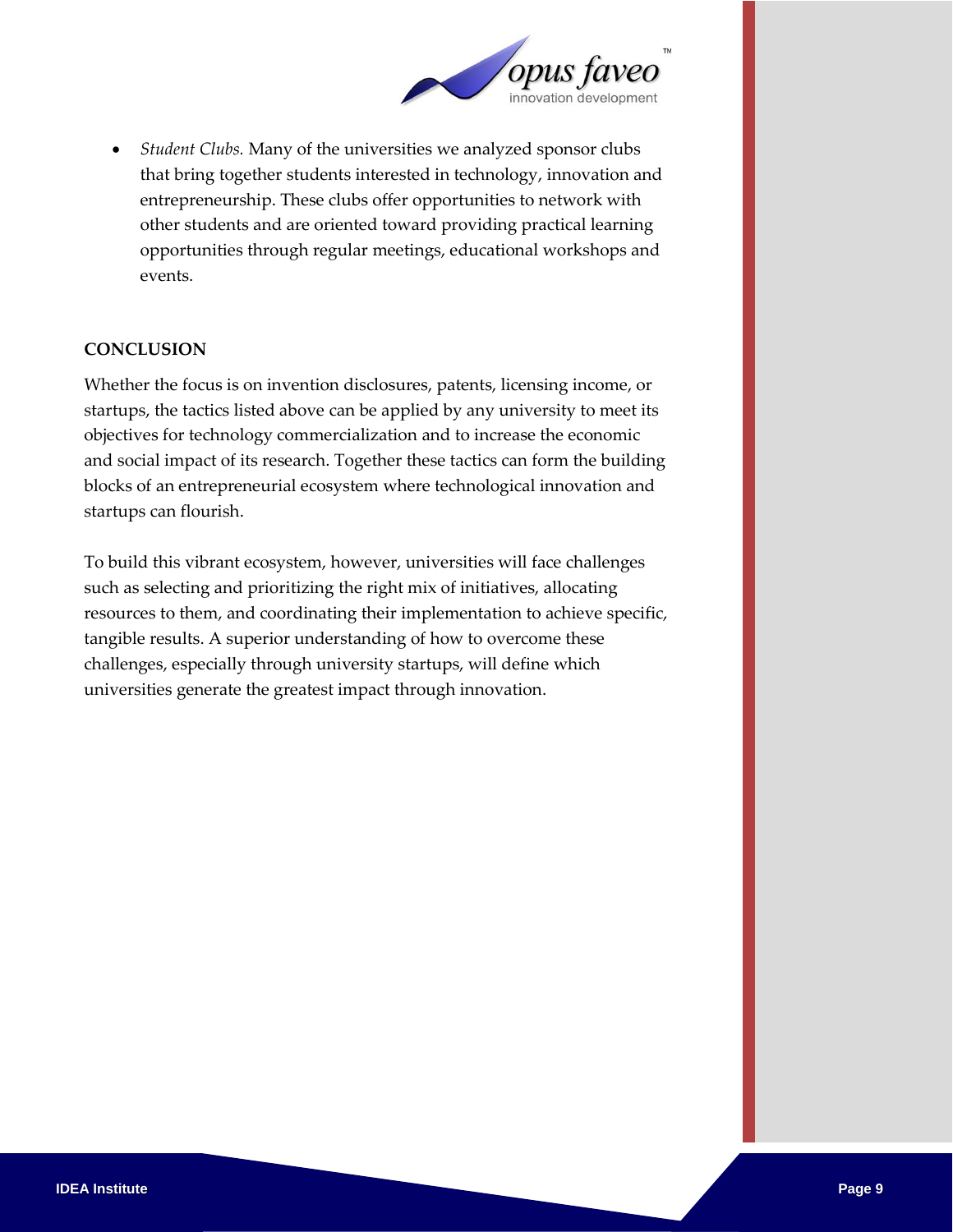

 *Student Clubs.* Many of the universities we analyzed sponsor clubs that bring together students interested in technology, innovation and entrepreneurship. These clubs offer opportunities to network with other students and are oriented toward providing practical learning opportunities through regular meetings, educational workshops and events.

#### **CONCLUSION**

Whether the focus is on invention disclosures, patents, licensing income, or startups, the tactics listed above can be applied by any university to meet its objectives for technology commercialization and to increase the economic and social impact of its research. Together these tactics can form the building blocks of an entrepreneurial ecosystem where technological innovation and startups can flourish.

To build this vibrant ecosystem, however, universities will face challenges such as selecting and prioritizing the right mix of initiatives, allocating resources to them, and coordinating their implementation to achieve specific, tangible results. A superior understanding of how to overcome these challenges, especially through university startups, will define which universities generate the greatest impact through innovation.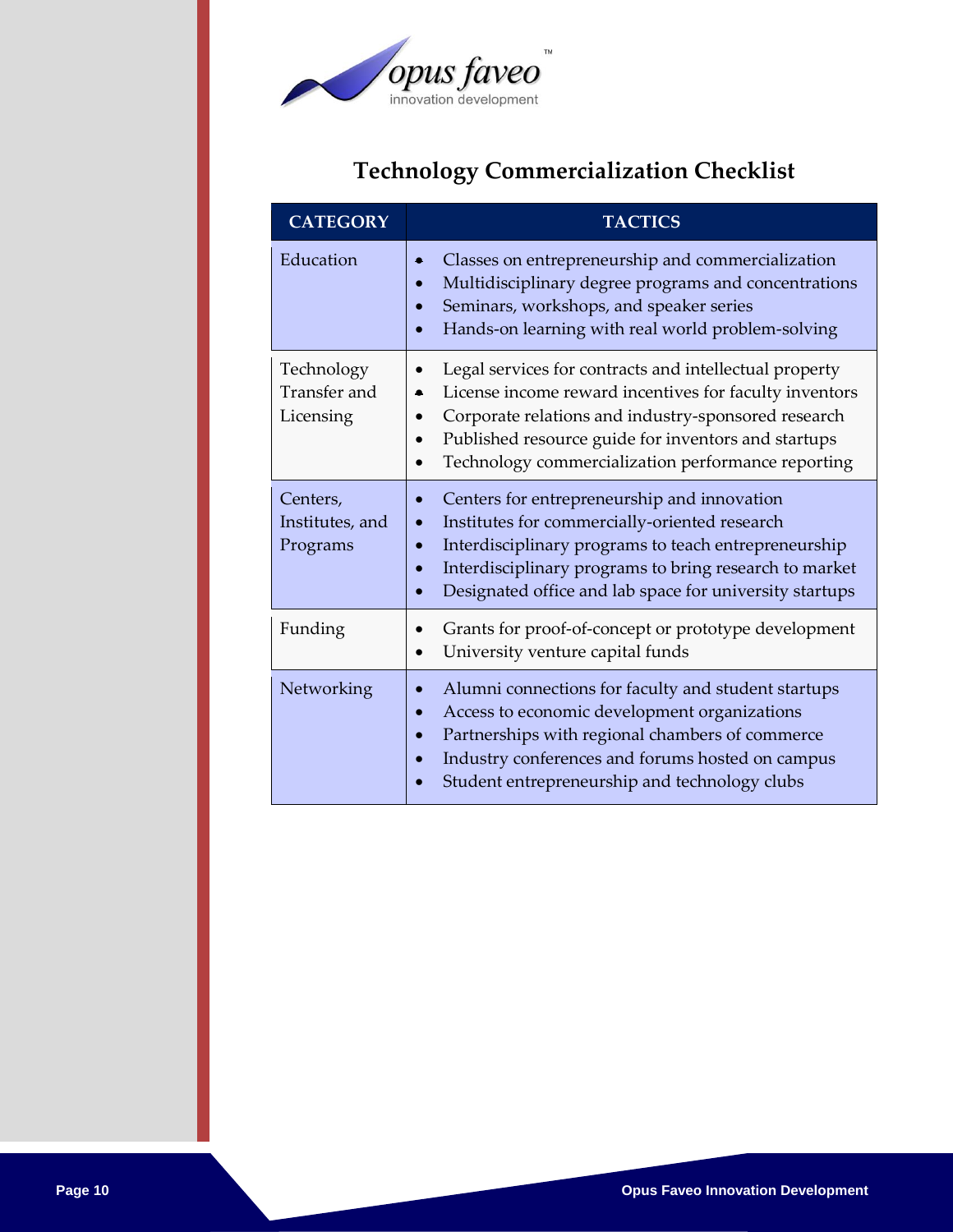

# **Technology Commercialization Checklist**

| <b>CATEGORY</b>                         | <b>TACTICS</b>                                                                                                                                                                                                                                                                         |
|-----------------------------------------|----------------------------------------------------------------------------------------------------------------------------------------------------------------------------------------------------------------------------------------------------------------------------------------|
| Education                               | Classes on entrepreneurship and commercialization<br>Multidisciplinary degree programs and concentrations<br>Seminars, workshops, and speaker series<br>Hands-on learning with real world problem-solving                                                                              |
| Technology<br>Transfer and<br>Licensing | Legal services for contracts and intellectual property<br>License income reward incentives for faculty inventors<br>Corporate relations and industry-sponsored research<br>Published resource guide for inventors and startups<br>Technology commercialization performance reporting   |
| Centers,<br>Institutes, and<br>Programs | Centers for entrepreneurship and innovation<br>Institutes for commercially-oriented research<br>$\bullet$<br>Interdisciplinary programs to teach entrepreneurship<br>Interdisciplinary programs to bring research to market<br>Designated office and lab space for university startups |
| Funding                                 | Grants for proof-of-concept or prototype development<br>University venture capital funds                                                                                                                                                                                               |
| Networking                              | Alumni connections for faculty and student startups<br>Access to economic development organizations<br>Partnerships with regional chambers of commerce<br>Industry conferences and forums hosted on campus<br>Student entrepreneurship and technology clubs                            |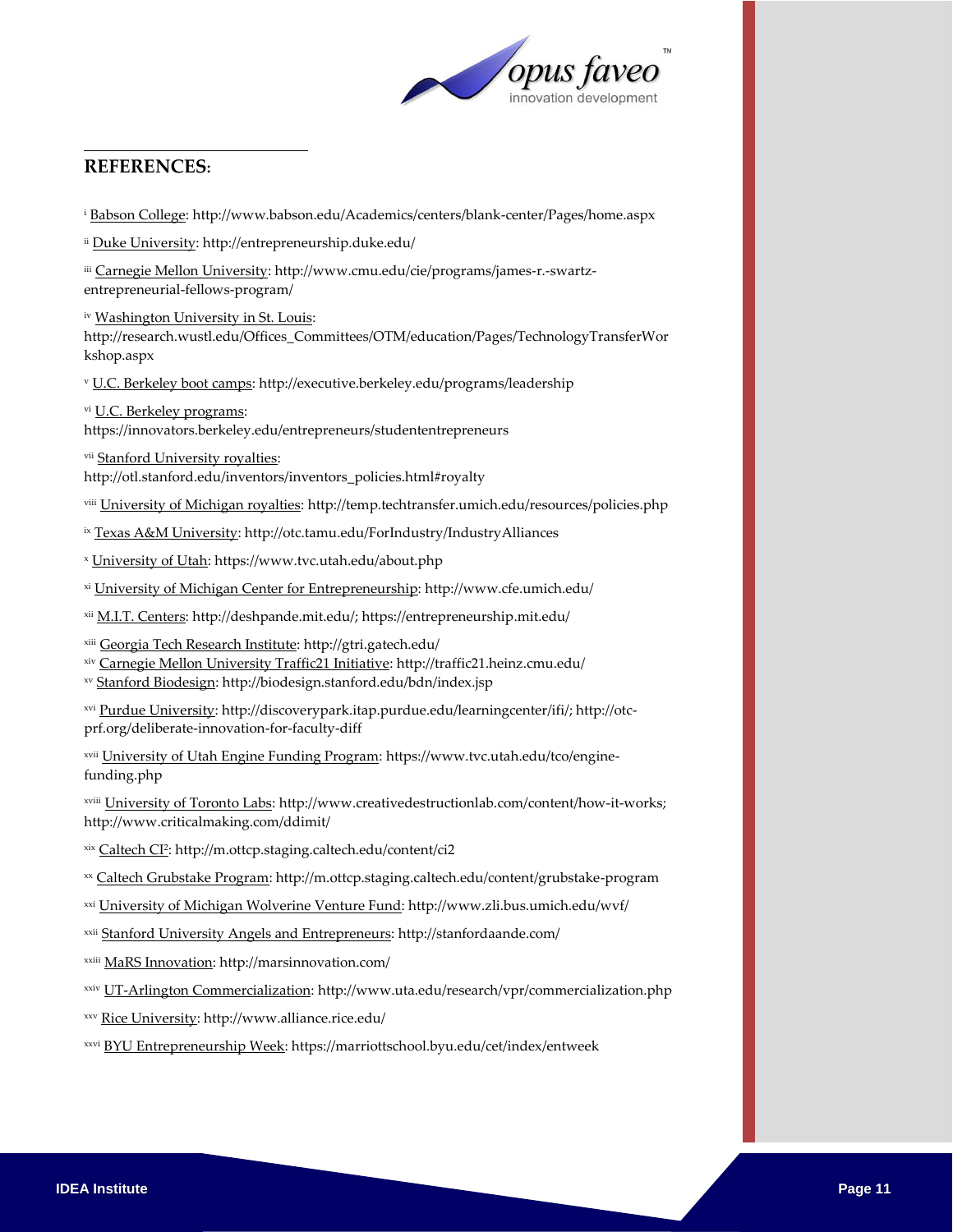

#### $\overline{a}$ **REFERENCES:**

<sup>i</sup> Babson College: http://www.babson.edu/Academics/centers/blank-center/Pages/home.aspx

ii Duke University: http://entrepreneurship.duke.edu/

iii Carnegie Mellon University: http://www.cmu.edu/cie/programs/james-r.-swartzentrepreneurial-fellows-program/

iv Washington University in St. Louis:

http://research.wustl.edu/Offices\_Committees/OTM/education/Pages/TechnologyTransferWor kshop.aspx

<sup>v</sup> U.C. Berkeley boot camps: http://executive.berkeley.edu/programs/leadership

vi U.C. Berkeley programs: https://innovators.berkeley.edu/entrepreneurs/studententrepreneurs

vii Stanford University royalties:

http://otl.stanford.edu/inventors/inventors\_policies.html#royalty

viii University of Michigan royalties: http://temp.techtransfer.umich.edu/resources/policies.php

ix Texas A&M University: http://otc.tamu.edu/ForIndustry/IndustryAlliances

<sup>x</sup> University of Utah: https://www.tvc.utah.edu/about.php

xi University of Michigan Center for Entrepreneurship: http://www.cfe.umich.edu/

xii M.I.T. Centers: http://deshpande.mit.edu/; https://entrepreneurship.mit.edu/

xiii Georgia Tech Research Institute: http://gtri.gatech.edu/

xiv Carnegie Mellon University Traffic21 Initiative: http://traffic21.heinz.cmu.edu/

xv Stanford Biodesign: http://biodesign.stanford.edu/bdn/index.jsp

xvi Purdue University: http://discoverypark.itap.purdue.edu/learningcenter/ifi/; http://otcprf.org/deliberate-innovation-for-faculty-diff

xvii University of Utah Engine Funding Program: https://www.tvc.utah.edu/tco/enginefunding.php

xviii University of Toronto Labs: http://www.creativedestructionlab.com/content/how-it-works; http://www.criticalmaking.com/ddimit/

<sup>xix</sup> <u>Caltech CI<sup>2</sup></u>: http://m.ottcp.staging.caltech.edu/content/ci2

xx Caltech Grubstake Program: http://m.ottcp.staging.caltech.edu/content/grubstake-program

xxi University of Michigan Wolverine Venture Fund: http://www.zli.bus.umich.edu/wvf/

xxii Stanford University Angels and Entrepreneurs: http://stanfordaande.com/

xxiii MaRS Innovation: http://marsinnovation.com/

xxiv UT-Arlington Commercialization: http://www.uta.edu/research/vpr/commercialization.php

xxv Rice University: http://www.alliance.rice.edu/

xxvi BYU Entrepreneurship Week[: https://marriottschool.byu.edu/cet/index/entweek](https://marriottschool.byu.edu/cet/index/entweek)